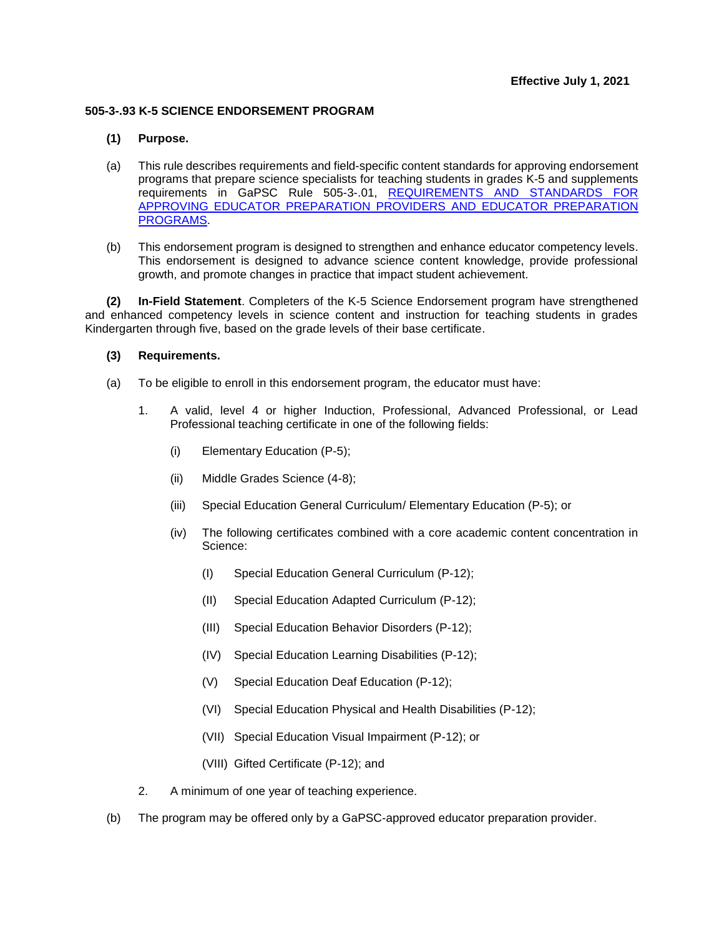## **505-3-.93 K-5 SCIENCE ENDORSEMENT PROGRAM**

## **(1) Purpose.**

- (a) This rule describes requirements and field-specific content standards for approving endorsement programs that prepare science specialists for teaching students in grades K-5 and supplements requirements in GaPSC Rule 505-3-.01, [REQUIREMENTS AND STANDARDS FOR](https://www.gapsc.com/Rules/Current/EducatorPreparation/505-3-.01.pdf?dt=%3C%25#Eval()  [APPROVING EDUCATOR PREPARATION PROVIDERS AND EDUCATOR PREPARATION](https://www.gapsc.com/Rules/Current/EducatorPreparation/505-3-.01.pdf?dt=%3C%25#Eval()  [PROGRAMS.](https://www.gapsc.com/Rules/Current/EducatorPreparation/505-3-.01.pdf?dt=%3C%25#Eval()
- (b) This endorsement program is designed to strengthen and enhance educator competency levels. This endorsement is designed to advance science content knowledge, provide professional growth, and promote changes in practice that impact student achievement.

**(2) In-Field Statement**. Completers of the K-5 Science Endorsement program have strengthened and enhanced competency levels in science content and instruction for teaching students in grades Kindergarten through five, based on the grade levels of their base certificate.

## **(3) Requirements.**

- (a) To be eligible to enroll in this endorsement program, the educator must have:
	- 1. A valid, level 4 or higher Induction, Professional, Advanced Professional, or Lead Professional teaching certificate in one of the following fields:
		- (i) Elementary Education (P-5);
		- (ii) Middle Grades Science (4-8);
		- (iii) Special Education General Curriculum/ Elementary Education (P-5); or
		- (iv) The following certificates combined with a core academic content concentration in Science:
			- (I) Special Education General Curriculum (P-12);
			- (II) Special Education Adapted Curriculum (P-12);
			- (III) Special Education Behavior Disorders (P-12);
			- (IV) Special Education Learning Disabilities (P-12);
			- (V) Special Education Deaf Education (P-12);
			- (VI) Special Education Physical and Health Disabilities (P-12);
			- (VII) Special Education Visual Impairment (P-12); or
			- (VIII) Gifted Certificate (P-12); and
	- 2. A minimum of one year of teaching experience.
- (b) The program may be offered only by a GaPSC-approved educator preparation provider.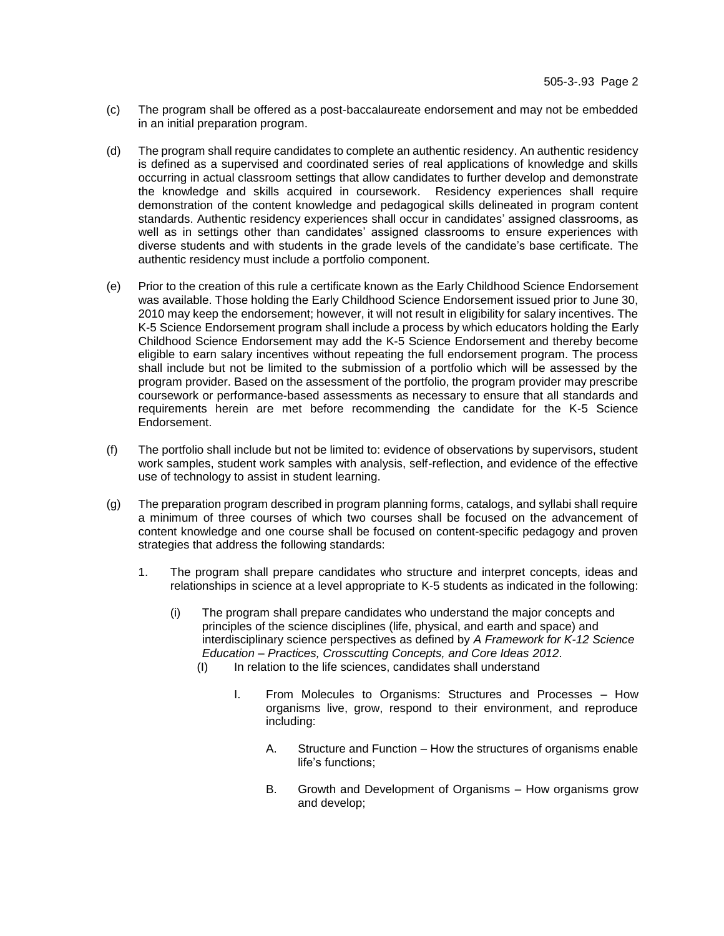- (c) The program shall be offered as a post-baccalaureate endorsement and may not be embedded in an initial preparation program.
- (d) The program shall require candidates to complete an authentic residency. An authentic residency is defined as a supervised and coordinated series of real applications of knowledge and skills occurring in actual classroom settings that allow candidates to further develop and demonstrate the knowledge and skills acquired in coursework. Residency experiences shall require demonstration of the content knowledge and pedagogical skills delineated in program content standards. Authentic residency experiences shall occur in candidates' assigned classrooms, as well as in settings other than candidates' assigned classrooms to ensure experiences with diverse students and with students in the grade levels of the candidate's base certificate. The authentic residency must include a portfolio component.
- (e) Prior to the creation of this rule a certificate known as the Early Childhood Science Endorsement was available. Those holding the Early Childhood Science Endorsement issued prior to June 30, 2010 may keep the endorsement; however, it will not result in eligibility for salary incentives. The K-5 Science Endorsement program shall include a process by which educators holding the Early Childhood Science Endorsement may add the K-5 Science Endorsement and thereby become eligible to earn salary incentives without repeating the full endorsement program. The process shall include but not be limited to the submission of a portfolio which will be assessed by the program provider. Based on the assessment of the portfolio, the program provider may prescribe coursework or performance-based assessments as necessary to ensure that all standards and requirements herein are met before recommending the candidate for the K-5 Science Endorsement.
- (f) The portfolio shall include but not be limited to: evidence of observations by supervisors, student work samples, student work samples with analysis, self-reflection, and evidence of the effective use of technology to assist in student learning.
- (g) The preparation program described in program planning forms, catalogs, and syllabi shall require a minimum of three courses of which two courses shall be focused on the advancement of content knowledge and one course shall be focused on content-specific pedagogy and proven strategies that address the following standards:
	- 1. The program shall prepare candidates who structure and interpret concepts, ideas and relationships in science at a level appropriate to K-5 students as indicated in the following:
		- (i) The program shall prepare candidates who understand the major concepts and principles of the science disciplines (life, physical, and earth and space) and interdisciplinary science perspectives as defined by *A Framework for K-12 Science Education – Practices, Crosscutting Concepts, and Core Ideas 2012*.
			- (I) In relation to the life sciences, candidates shall understand
				- I. From Molecules to Organisms: Structures and Processes How organisms live, grow, respond to their environment, and reproduce including:
					- A. Structure and Function How the structures of organisms enable life's functions;
					- B. Growth and Development of Organisms How organisms grow and develop;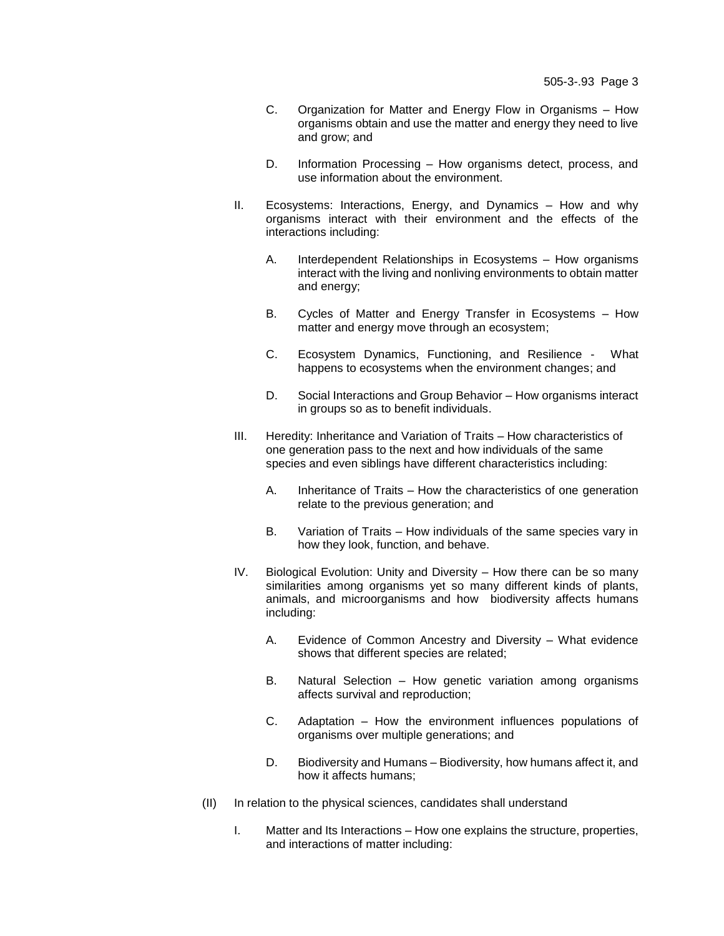- C. Organization for Matter and Energy Flow in Organisms How organisms obtain and use the matter and energy they need to live and grow; and
- D. Information Processing How organisms detect, process, and use information about the environment.
- II. Ecosystems: Interactions, Energy, and Dynamics How and why organisms interact with their environment and the effects of the interactions including:
	- A. Interdependent Relationships in Ecosystems How organisms interact with the living and nonliving environments to obtain matter and energy;
	- B. Cycles of Matter and Energy Transfer in Ecosystems How matter and energy move through an ecosystem;
	- C. Ecosystem Dynamics, Functioning, and Resilience What happens to ecosystems when the environment changes; and
	- D. Social Interactions and Group Behavior How organisms interact in groups so as to benefit individuals.
- III. Heredity: Inheritance and Variation of Traits How characteristics of one generation pass to the next and how individuals of the same species and even siblings have different characteristics including:
	- A. Inheritance of Traits How the characteristics of one generation relate to the previous generation; and
	- B. Variation of Traits How individuals of the same species vary in how they look, function, and behave.
- IV. Biological Evolution: Unity and Diversity How there can be so many similarities among organisms yet so many different kinds of plants, animals, and microorganisms and how biodiversity affects humans including:
	- A. Evidence of Common Ancestry and Diversity What evidence shows that different species are related;
	- B. Natural Selection How genetic variation among organisms affects survival and reproduction;
	- C. Adaptation How the environment influences populations of organisms over multiple generations; and
	- D. Biodiversity and Humans Biodiversity, how humans affect it, and how it affects humans;
- (II) In relation to the physical sciences, candidates shall understand
	- I. Matter and Its Interactions How one explains the structure, properties, and interactions of matter including: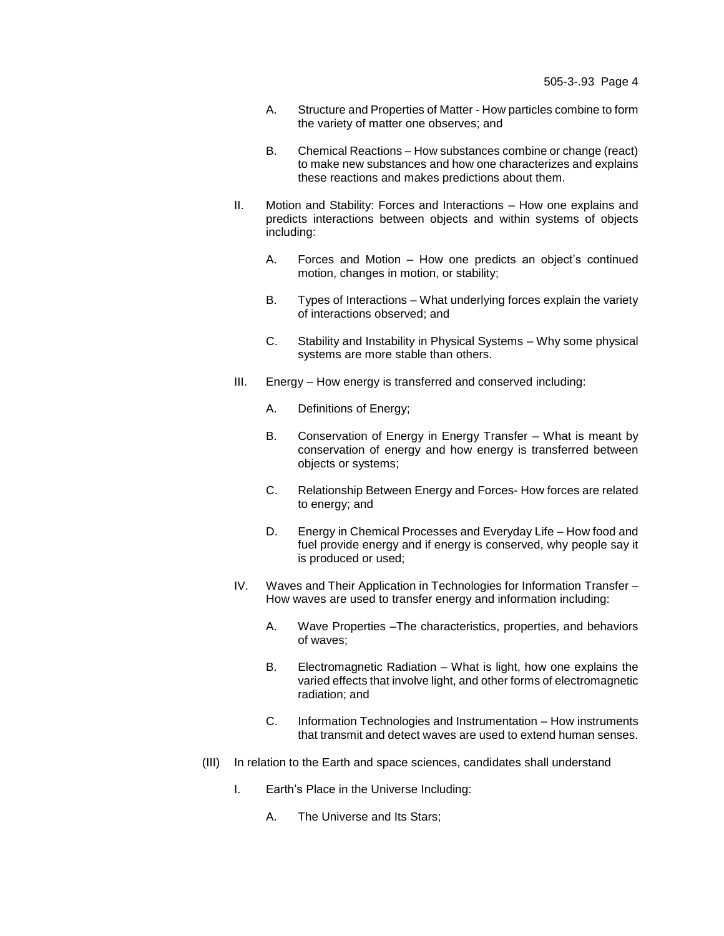- A. Structure and Properties of Matter How particles combine to form the variety of matter one observes; and
- B. Chemical Reactions How substances combine or change (react) to make new substances and how one characterizes and explains these reactions and makes predictions about them.
- II. Motion and Stability: Forces and Interactions How one explains and predicts interactions between objects and within systems of objects including:
	- A. Forces and Motion How one predicts an object's continued motion, changes in motion, or stability;
	- B. Types of Interactions What underlying forces explain the variety of interactions observed; and
	- C. Stability and Instability in Physical Systems Why some physical systems are more stable than others.
- III. Energy How energy is transferred and conserved including:
	- A. Definitions of Energy;
	- B. Conservation of Energy in Energy Transfer What is meant by conservation of energy and how energy is transferred between objects or systems;
	- C. Relationship Between Energy and Forces- How forces are related to energy; and
	- D. Energy in Chemical Processes and Everyday Life How food and fuel provide energy and if energy is conserved, why people say it is produced or used;
- IV. Waves and Their Application in Technologies for Information Transfer How waves are used to transfer energy and information including:
	- A. Wave Properties –The characteristics, properties, and behaviors of waves;
	- B. Electromagnetic Radiation What is light, how one explains the varied effects that involve light, and other forms of electromagnetic radiation; and
	- C. Information Technologies and Instrumentation How instruments that transmit and detect waves are used to extend human senses.
- (III) In relation to the Earth and space sciences, candidates shall understand
	- I. Earth's Place in the Universe Including:
		- A. The Universe and Its Stars;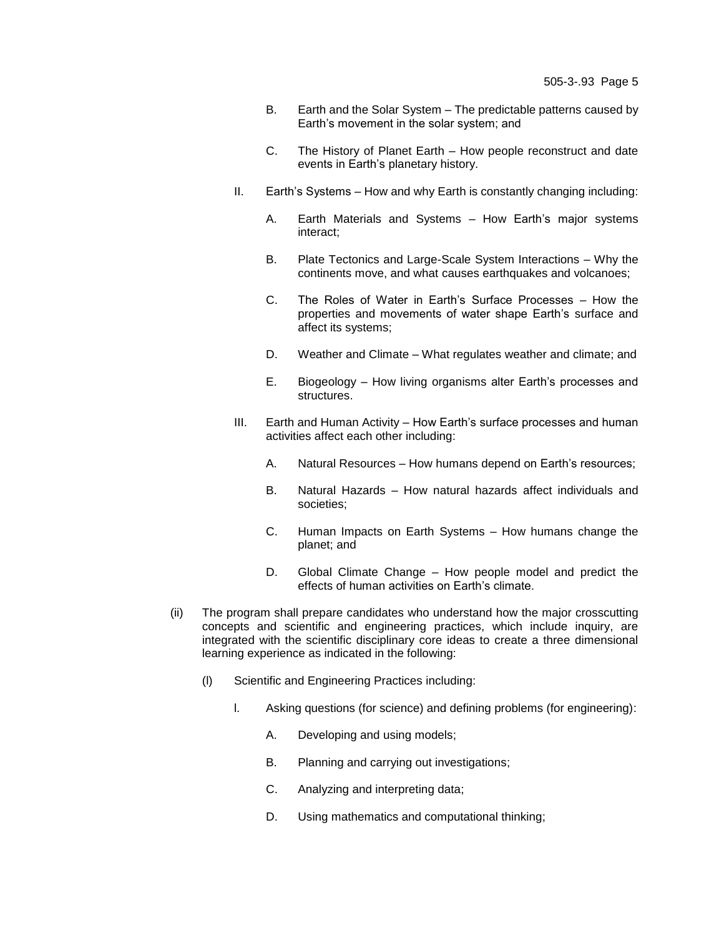- B. Earth and the Solar System The predictable patterns caused by Earth's movement in the solar system; and
- C. The History of Planet Earth How people reconstruct and date events in Earth's planetary history.
- II. Earth's Systems How and why Earth is constantly changing including:
	- A. Earth Materials and Systems How Earth's major systems interact;
	- B. Plate Tectonics and Large-Scale System Interactions Why the continents move, and what causes earthquakes and volcanoes;
	- C. The Roles of Water in Earth's Surface Processes How the properties and movements of water shape Earth's surface and affect its systems;
	- D. Weather and Climate What regulates weather and climate; and
	- E. Biogeology How living organisms alter Earth's processes and structures.
- III. Earth and Human Activity How Earth's surface processes and human activities affect each other including:
	- A. Natural Resources How humans depend on Earth's resources;
	- B. Natural Hazards How natural hazards affect individuals and societies;
	- C. Human Impacts on Earth Systems How humans change the planet; and
	- D. Global Climate Change How people model and predict the effects of human activities on Earth's climate.
- (ii) The program shall prepare candidates who understand how the major crosscutting concepts and scientific and engineering practices, which include inquiry, are integrated with the scientific disciplinary core ideas to create a three dimensional learning experience as indicated in the following:
	- (l) Scientific and Engineering Practices including:
		- l. Asking questions (for science) and defining problems (for engineering):
			- A. Developing and using models;
			- B. Planning and carrying out investigations;
			- C. Analyzing and interpreting data;
			- D. Using mathematics and computational thinking;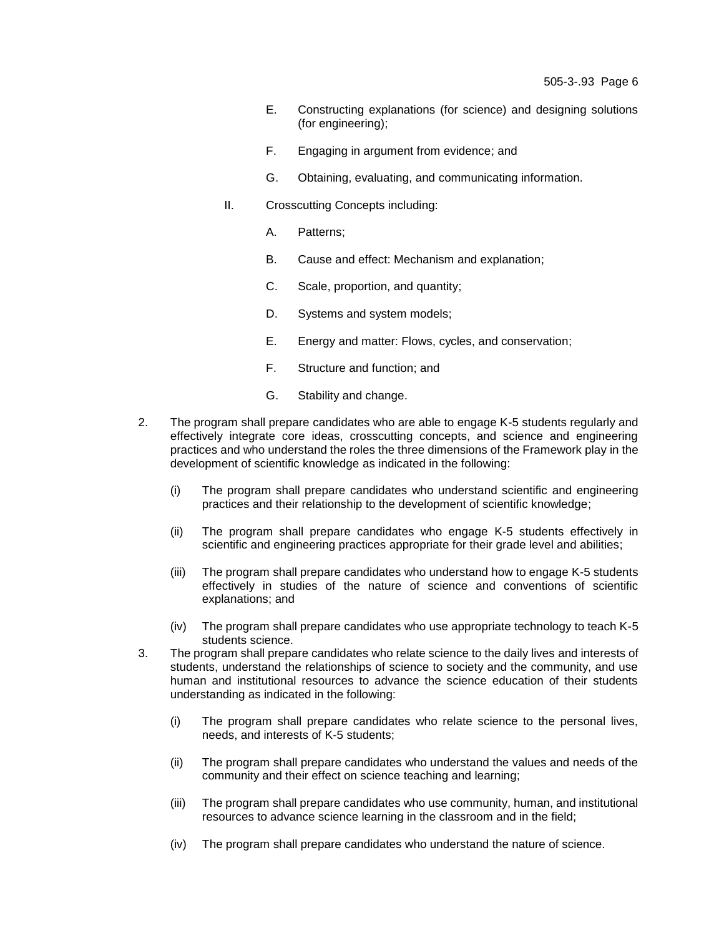- E. Constructing explanations (for science) and designing solutions (for engineering);
- F. Engaging in argument from evidence; and
- G. Obtaining, evaluating, and communicating information.
- II. Crosscutting Concepts including:
	- A. Patterns;
	- B. Cause and effect: Mechanism and explanation;
	- C. Scale, proportion, and quantity;
	- D. Systems and system models;
	- E. Energy and matter: Flows, cycles, and conservation;
	- F. Structure and function; and
	- G. Stability and change.
- 2. The program shall prepare candidates who are able to engage K-5 students regularly and effectively integrate core ideas, crosscutting concepts, and science and engineering practices and who understand the roles the three dimensions of the Framework play in the development of scientific knowledge as indicated in the following:
	- (i) The program shall prepare candidates who understand scientific and engineering practices and their relationship to the development of scientific knowledge;
	- (ii) The program shall prepare candidates who engage K-5 students effectively in scientific and engineering practices appropriate for their grade level and abilities;
	- (iii) The program shall prepare candidates who understand how to engage K-5 students effectively in studies of the nature of science and conventions of scientific explanations; and
	- (iv) The program shall prepare candidates who use appropriate technology to teach K-5 students science.
- 3. The program shall prepare candidates who relate science to the daily lives and interests of students, understand the relationships of science to society and the community, and use human and institutional resources to advance the science education of their students understanding as indicated in the following:
	- (i) The program shall prepare candidates who relate science to the personal lives, needs, and interests of K-5 students;
	- (ii) The program shall prepare candidates who understand the values and needs of the community and their effect on science teaching and learning;
	- (iii) The program shall prepare candidates who use community, human, and institutional resources to advance science learning in the classroom and in the field;
	- (iv) The program shall prepare candidates who understand the nature of science.